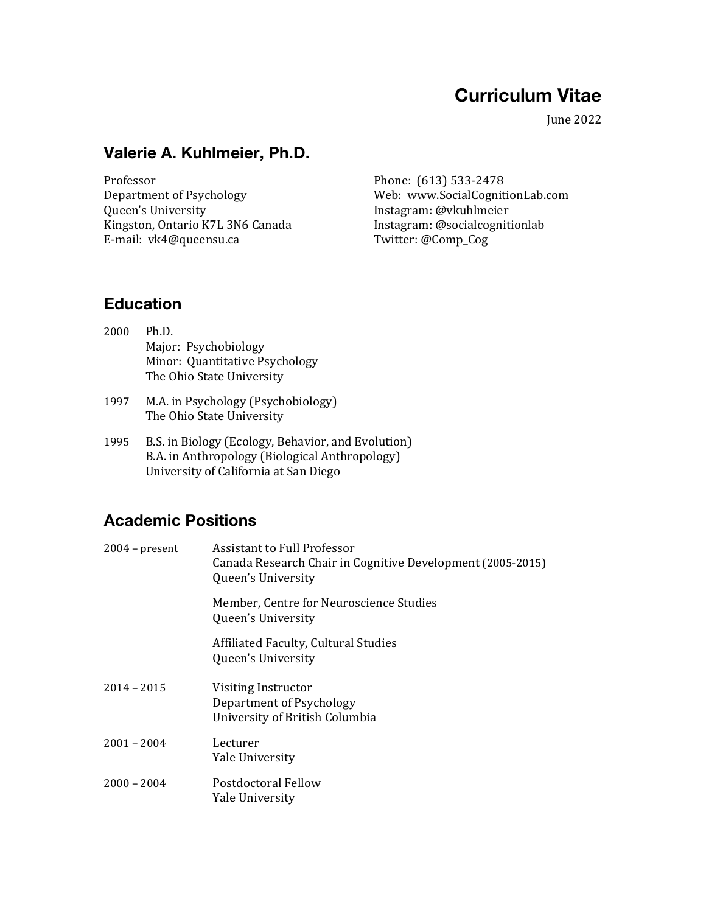# **Curriculum Vitae**

June 2022

#### **Valerie A. Kuhlmeier, Ph.D.**

Professor Department of Psychology Queen's University Kingston, Ontario K7L 3N6 Canada E-mail: vk4@queensu.ca

Phone: (613) 533-2478 Web: www.SocialCognitionLab.com Instagram: @vkuhlmeier Instagram: @socialcognitionlab Twitter: @Comp\_Cog

### **Education**

- 2000 Ph.D. Major: Psychobiology Minor: Quantitative Psychology The Ohio State University
- 1997 M.A. in Psychology (Psychobiology) The Ohio State University
- 1995 B.S. in Biology (Ecology, Behavior, and Evolution) B.A. in Anthropology (Biological Anthropology) University of California at San Diego

## **Academic Positions**

| $2004$ – present | Assistant to Full Professor<br>Canada Research Chair in Cognitive Development (2005-2015)<br>Queen's University |  |
|------------------|-----------------------------------------------------------------------------------------------------------------|--|
|                  | Member, Centre for Neuroscience Studies<br>Queen's University                                                   |  |
|                  | Affiliated Faculty, Cultural Studies<br>Queen's University                                                      |  |
| $2014 - 2015$    | Visiting Instructor<br>Department of Psychology<br>University of British Columbia                               |  |
| $2001 - 2004$    | Lecturer<br><b>Yale University</b>                                                                              |  |
| $2000 - 2004$    | Postdoctoral Fellow<br><b>Yale University</b>                                                                   |  |
|                  |                                                                                                                 |  |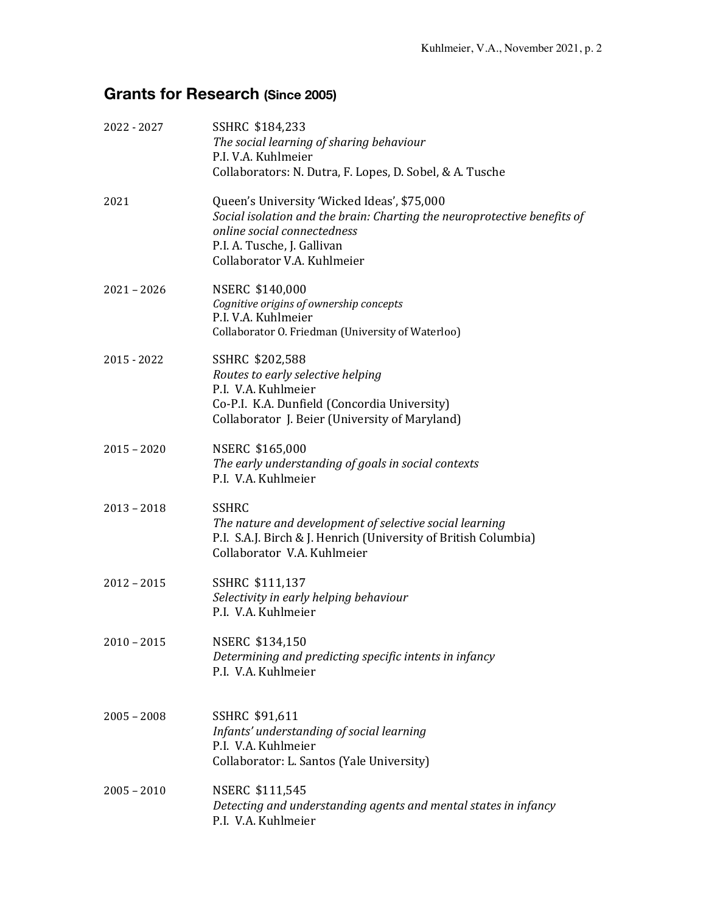# **Grants for Research (Since 2005)**

| 2022 - 2027   | SSHRC \$184,233<br>The social learning of sharing behaviour<br>P.I. V.A. Kuhlmeier<br>Collaborators: N. Dutra, F. Lopes, D. Sobel, & A. Tusche                                                                       |
|---------------|----------------------------------------------------------------------------------------------------------------------------------------------------------------------------------------------------------------------|
| 2021          | Queen's University 'Wicked Ideas', \$75,000<br>Social isolation and the brain: Charting the neuroprotective benefits of<br>online social connectedness<br>P.I. A. Tusche, J. Gallivan<br>Collaborator V.A. Kuhlmeier |
| $2021 - 2026$ | <b>NSERC \$140,000</b><br>Cognitive origins of ownership concepts<br>P.I. V.A. Kuhlmeier<br>Collaborator O. Friedman (University of Waterloo)                                                                        |
| 2015 - 2022   | SSHRC \$202,588<br>Routes to early selective helping<br>P.I. V.A. Kuhlmeier<br>Co-P.I. K.A. Dunfield (Concordia University)<br>Collaborator J. Beier (University of Maryland)                                        |
| $2015 - 2020$ | NSERC \$165,000<br>The early understanding of goals in social contexts<br>P.I. V.A. Kuhlmeier                                                                                                                        |
| $2013 - 2018$ | <b>SSHRC</b><br>The nature and development of selective social learning<br>P.I. S.A.J. Birch & J. Henrich (University of British Columbia)<br>Collaborator V.A. Kuhlmeier                                            |
| $2012 - 2015$ | SSHRC \$111,137<br>Selectivity in early helping behaviour<br>P.I. V.A. Kuhlmeier                                                                                                                                     |
| $2010 - 2015$ | NSERC \$134,150<br>Determining and predicting specific intents in infancy<br>P.I. V.A. Kuhlmeier                                                                                                                     |
| $2005 - 2008$ | SSHRC \$91,611<br>Infants' understanding of social learning<br>P.I. V.A. Kuhlmeier<br>Collaborator: L. Santos (Yale University)                                                                                      |
| $2005 - 2010$ | NSERC \$111,545<br>Detecting and understanding agents and mental states in infancy<br>P.I. V.A. Kuhlmeier                                                                                                            |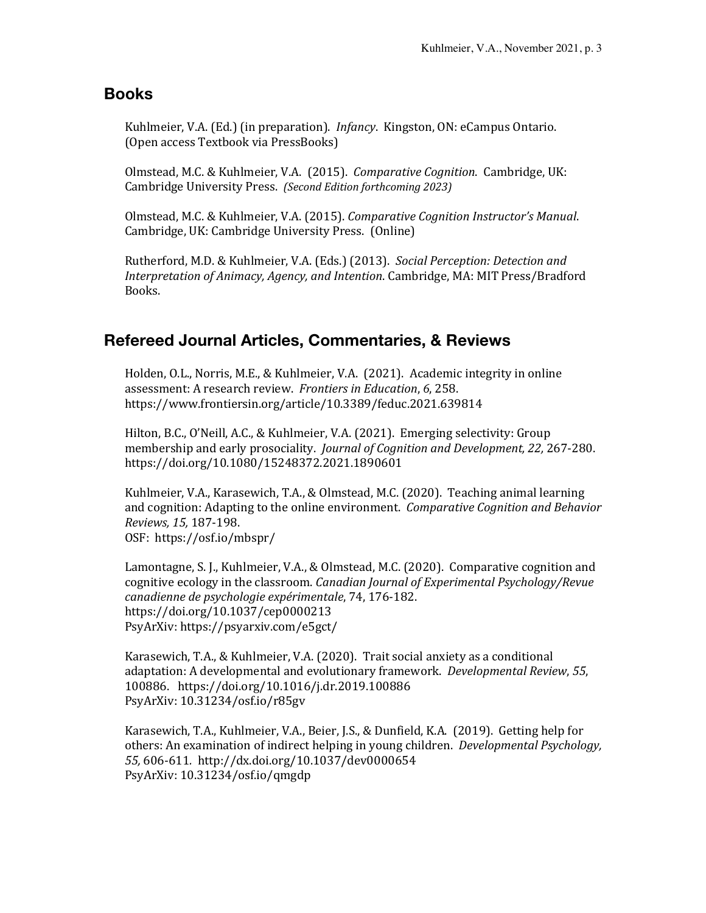### **Books**

Kuhlmeier, V.A. (Ed.) (in preparation). *Infancy*. Kingston, ON: eCampus Ontario. (Open access Textbook via PressBooks)

Olmstead, M.C. & Kuhlmeier, V.A. (2015). *Comparative Cognition*. Cambridge, UK: Cambridge University Press. (Second Edition forthcoming 2023)

Olmstead, M.C. & Kuhlmeier, V.A. (2015). Comparative Cognition Instructor's Manual. Cambridge, UK: Cambridge University Press. (Online)

Rutherford, M.D. & Kuhlmeier, V.A. (Eds.) (2013). Social Perception: Detection and *Interpretation of Animacy, Agency, and Intention.* Cambridge, MA: MIT Press/Bradford Books.

### **Refereed Journal Articles, Commentaries, & Reviews**

Holden, O.L., Norris, M.E., & Kuhlmeier, V.A. (2021). Academic integrity in online assessment: A research review. *Frontiers in Education*, *6*, 258. https://www.frontiersin.org/article/10.3389/feduc.2021.639814 

Hilton, B.C., O'Neill, A.C., & Kuhlmeier, V.A. (2021). Emerging selectivity: Group membership and early prosociality. *Journal of Cognition and Development, 22, 267-280.* https://doi.org/10.1080/15248372.2021.1890601

Kuhlmeier, V.A., Karasewich, T.A., & Olmstead, M.C. (2020). Teaching animal learning and cognition: Adapting to the online environment. Comparative Cognition and Behavior *Reviews, 15,* 187-198. OSF: https://osf.io/mbspr/

Lamontagne, S. J., Kuhlmeier, V.A., & Olmstead, M.C. (2020). Comparative cognition and cognitive ecology in the classroom. *Canadian Journal of Experimental Psychology/Revue canadienne de psychologie expérimentale*, 74, 176-182. https://doi.org/10.1037/cep0000213 PsyArXiv: https://psyarxiv.com/e5gct/

Karasewich, T.A., & Kuhlmeier, V.A. (2020). Trait social anxiety as a conditional adaptation: A developmental and evolutionary framework. *Developmental Review*, *55*, 100886. https://doi.org/10.1016/j.dr.2019.100886 PsyArXiv: 10.31234/osf.io/r85gv

Karasewich, T.A., Kuhlmeier, V.A., Beier, J.S., & Dunfield, K.A. (2019). Getting help for others: An examination of indirect helping in young children. *Developmental Psychology*, *55,* 606-611*.* http://dx.doi.org/10.1037/dev0000654 PsyArXiv: 10.31234/osf.io/qmgdp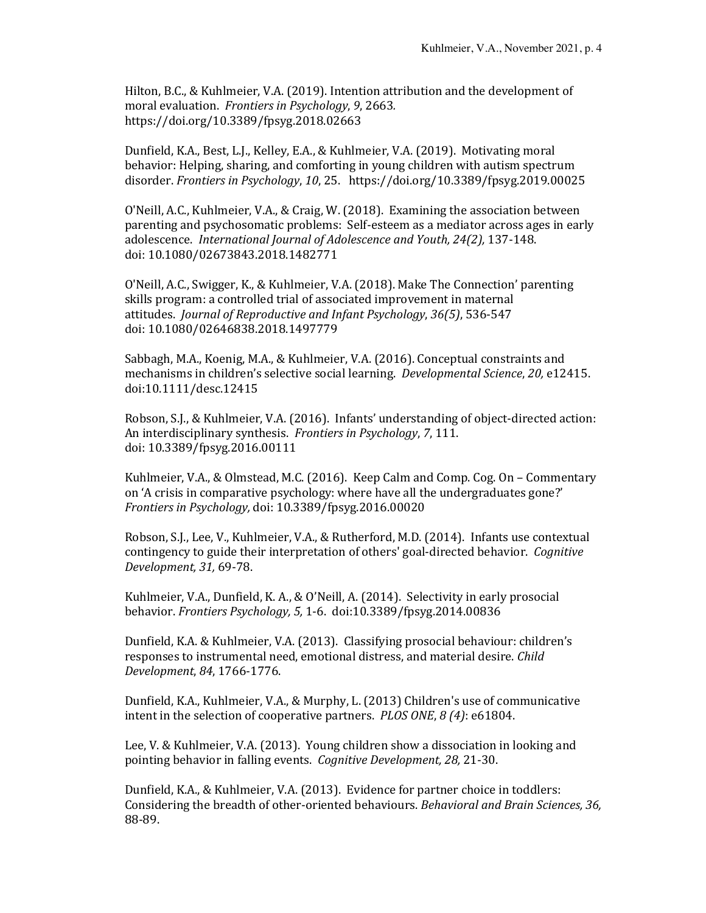Hilton, B.C., & Kuhlmeier, V.A. (2019). Intention attribution and the development of moral evaluation. Frontiers in Psychology, 9, 2663. https://doi.org/10.3389/fpsyg.2018.02663

Dunfield, K.A., Best, L.J., Kelley, E.A., & Kuhlmeier, V.A. (2019). Motivating moral behavior: Helping, sharing, and comforting in young children with autism spectrum disorder. *Frontiers in Psychology*, 10, 25. https://doi.org/10.3389/fpsyg.2019.00025

O'Neill, A.C., Kuhlmeier, V.A., & Craig, W. (2018). Examining the association between parenting and psychosomatic problems: Self-esteem as a mediator across ages in early adolescence. *International Journal of Adolescence and Youth, 24(2), 137-148.* doi: 10.1080/02673843.2018.1482771

O'Neill, A.C., Swigger, K., & Kuhlmeier, V.A. (2018). Make The Connection' parenting skills program: a controlled trial of associated improvement in maternal attitudes. *Journal of Reproductive and Infant Psychology*, *36(5)*, 536-547 doi: 10.1080/02646838.2018.1497779

Sabbagh, M.A., Koenig, M.A., & Kuhlmeier, V.A. (2016). Conceptual constraints and mechanisms in children's selective social learning. *Developmental Science*, 20, e12415. doi:10.1111/desc.12415

Robson, S.J., & Kuhlmeier, V.A. (2016). Infants' understanding of object-directed action: An interdisciplinary synthesis. Frontiers in Psychology, 7, 111. doi: 10.3389/fpsyg.2016.00111

Kuhlmeier, V.A., & Olmstead, M.C. (2016). Keep Calm and Comp. Cog. On – Commentary on 'A crisis in comparative psychology: where have all the undergraduates gone?' *Frontiers in Psychology, doi: 10.3389/fpsyg.2016.00020* 

Robson, S.J., Lee, V., Kuhlmeier, V.A., & Rutherford, M.D. (2014). Infants use contextual contingency to guide their interpretation of others' goal-directed behavior. *Cognitive Development, 31,* 69-78.

Kuhlmeier, V.A., Dunfield, K.A., & O'Neill, A. (2014). Selectivity in early prosocial behavior. *Frontiers Psychology, 5,* 1-6. doi:10.3389/fpsyg.2014.00836

Dunfield, K.A. & Kuhlmeier, V.A. (2013). Classifying prosocial behaviour: children's responses to instrumental need, emotional distress, and material desire. *Child Development*, *84*, 1766-1776.

Dunfield, K.A., Kuhlmeier, V.A., & Murphy, L. (2013) Children's use of communicative intent in the selection of cooperative partners. *PLOS ONE*, 8 (4): e61804.

Lee, V. & Kuhlmeier, V.A. (2013). Young children show a dissociation in looking and pointing behavior in falling events. *Cognitive Development, 28, 21-30*.

Dunfield, K.A., & Kuhlmeier, V.A. (2013). Evidence for partner choice in toddlers: Considering the breadth of other-oriented behaviours. *Behavioral and Brain Sciences, 36,* 88-89.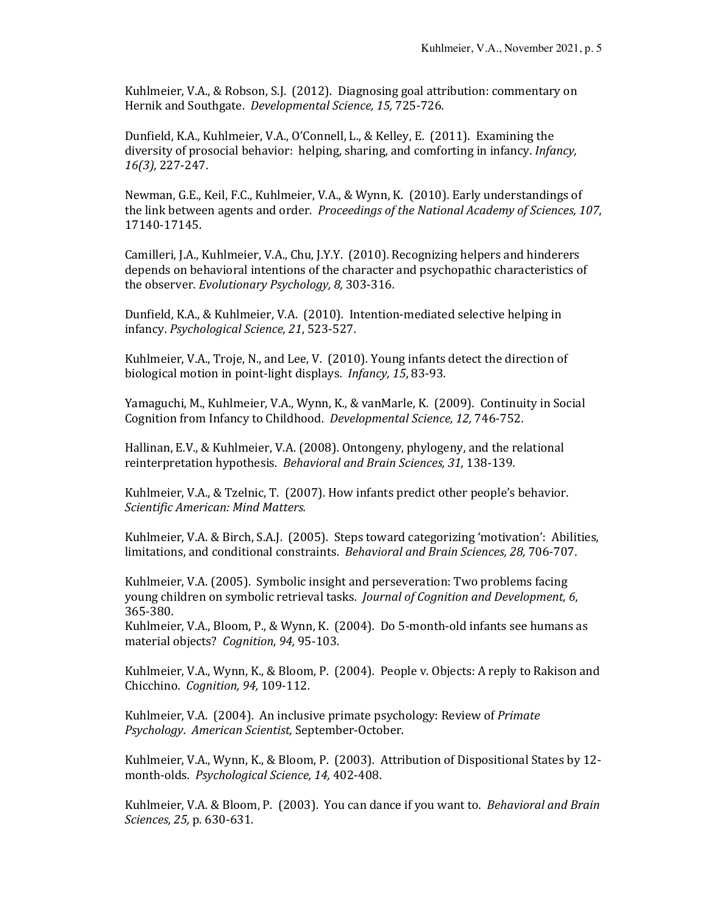Kuhlmeier, V.A., & Robson, S.J. (2012). Diagnosing goal attribution: commentary on Hernik and Southgate. *Developmental Science*, 15, 725-726.

Dunfield, K.A., Kuhlmeier, V.A., O'Connell, L., & Kelley, E. (2011). Examining the diversity of prosocial behavior: helping, sharing, and comforting in infancy. *Infancy*, *16(3),* 227-247.

Newman, G.E., Keil, F.C., Kuhlmeier, V.A., & Wynn, K. (2010). Early understandings of the link between agents and order. *Proceedings of the National Academy of Sciences, 107*, 17140-17145.

Camilleri, J.A., Kuhlmeier, V.A., Chu, J.Y.Y. (2010). Recognizing helpers and hinderers depends on behavioral intentions of the character and psychopathic characteristics of the observer. *Evolutionary Psychology, 8,* 303-316.

Dunfield, K.A., & Kuhlmeier, V.A. (2010). Intention-mediated selective helping in infancy. *Psychological Science, 21*, 523-527.

Kuhlmeier, V.A., Troje, N., and Lee, V. (2010). Young infants detect the direction of biological motion in point-light displays. *Infancy, 15*, 83-93.

Yamaguchi, M., Kuhlmeier, V.A., Wynn, K., & vanMarle, K. (2009). Continuity in Social Cognition from Infancy to Childhood. *Developmental Science, 12, 746-752*.

Hallinan, E.V., & Kuhlmeier, V.A. (2008). Ontongeny, phylogeny, and the relational reinterpretation hypothesis. Behavioral and Brain Sciences, 31, 138-139.

Kuhlmeier, V.A., & Tzelnic, T. (2007). How infants predict other people's behavior. *Scientific American: Mind Matters.*

Kuhlmeier, V.A. & Birch, S.A.J. (2005). Steps toward categorizing 'motivation': Abilities, limitations, and conditional constraints. Behavioral and Brain Sciences, 28, 706-707.

Kuhlmeier, V.A. (2005). Symbolic insight and perseveration: Two problems facing young children on symbolic retrieval tasks. *Journal of Cognition and Development, 6*, 365-380.

Kuhlmeier, V.A., Bloom, P., & Wynn, K. (2004). Do 5-month-old infants see humans as material objects? *Cognition*, 94, 95-103.

Kuhlmeier, V.A., Wynn, K., & Bloom, P. (2004). People v. Objects: A reply to Rakison and Chicchino. *Cognition, 94,* 109-112.

Kuhlmeier, V.A. (2004). An inclusive primate psychology: Review of Primate *Psychology*. *American Scientist,* September-October.

Kuhlmeier, V.A., Wynn, K., & Bloom, P. (2003). Attribution of Dispositional States by 12month-olds. *Psychological Science, 14,* 402-408.

Kuhlmeier, V.A. & Bloom, P. (2003). You can dance if you want to. *Behavioral and Brain Sciences, 25,* p. 630-631.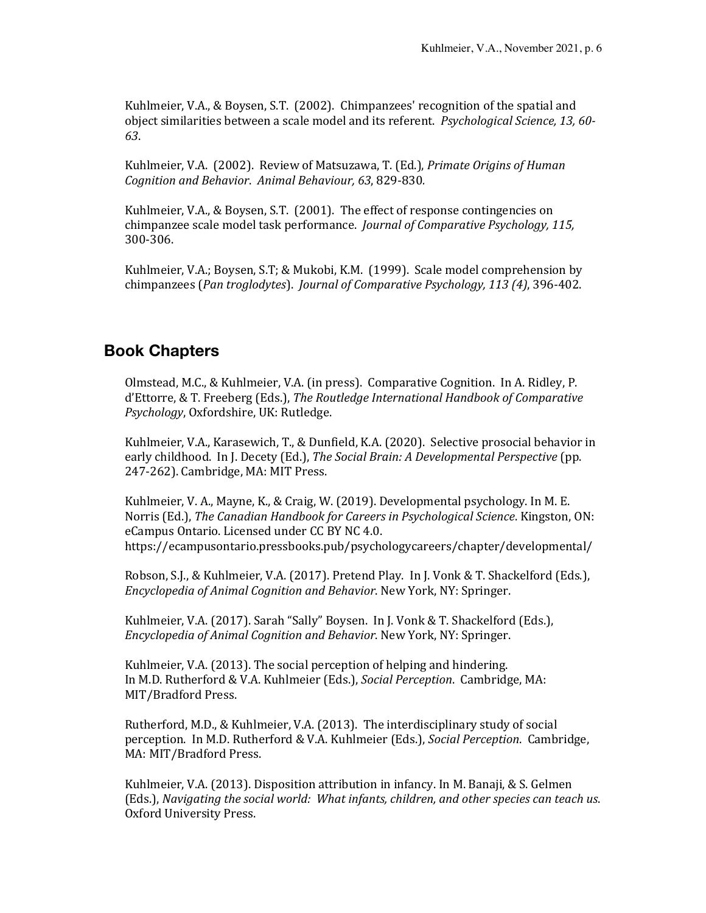Kuhlmeier, V.A., & Boysen, S.T. (2002). Chimpanzees' recognition of the spatial and object similarities between a scale model and its referent. *Psychological Science, 13, 60-63*. 

Kuhlmeier, V.A. (2002). Review of Matsuzawa, T. (Ed.), *Primate Origins of Human Cognition and Behavior*. *Animal Behaviour, 63*, 829-830*.*

Kuhlmeier, V.A., & Boysen, S.T. (2001). The effect of response contingencies on chimpanzee scale model task performance. *Journal of Comparative Psychology, 115,* 300-306.

Kuhlmeier, V.A.; Boysen, S.T; & Mukobi, K.M. (1999). Scale model comprehension by chimpanzees (*Pan troglodytes*). *Journal of Comparative Psychology, 113 (4)*, 396-402.

### **Book Chapters**

Olmstead, M.C., & Kuhlmeier, V.A. (in press). Comparative Cognition. In A. Ridley, P. d'Ettorre, & T. Freeberg (Eds.), *The Routledge International Handbook of Comparative* Psychology, Oxfordshire, UK: Rutledge.

Kuhlmeier, V.A., Karasewich, T., & Dunfield, K.A. (2020). Selective prosocial behavior in early childhood. In J. Decety (Ed.), *The Social Brain: A Developmental Perspective* (pp. 247-262). Cambridge, MA: MIT Press.

Kuhlmeier, V. A., Mayne, K., & Craig, W. (2019). Developmental psychology. In M. E. Norris (Ed.), *The Canadian Handbook for Careers in Psychological Science*. Kingston, ON: eCampus Ontario. Licensed under CC BY NC 4.0. https://ecampusontario.pressbooks.pub/psychologycareers/chapter/developmental/

Robson, S.J., & Kuhlmeier, V.A. (2017). Pretend Play. In J. Vonk & T. Shackelford (Eds.), *Encyclopedia of Animal Cognition and Behavior*. New York, NY: Springer.

Kuhlmeier, V.A. (2017). Sarah "Sally" Boysen. In J. Vonk & T. Shackelford (Eds.), *Encyclopedia of Animal Cognition and Behavior*. New York, NY: Springer.

Kuhlmeier, V.A. (2013). The social perception of helping and hindering. In M.D. Rutherford & V.A. Kuhlmeier (Eds.), *Social Perception*. Cambridge, MA: MIT/Bradford Press.

Rutherford, M.D., & Kuhlmeier, V.A. (2013). The interdisciplinary study of social perception. In M.D. Rutherford & V.A. Kuhlmeier (Eds.), *Social Perception*. Cambridge, MA: MIT/Bradford Press.

Kuhlmeier, V.A. (2013). Disposition attribution in infancy. In M. Banaji, & S. Gelmen (Eds.), *Navigating the social world: What infants, children, and other species can teach us.* Oxford University Press.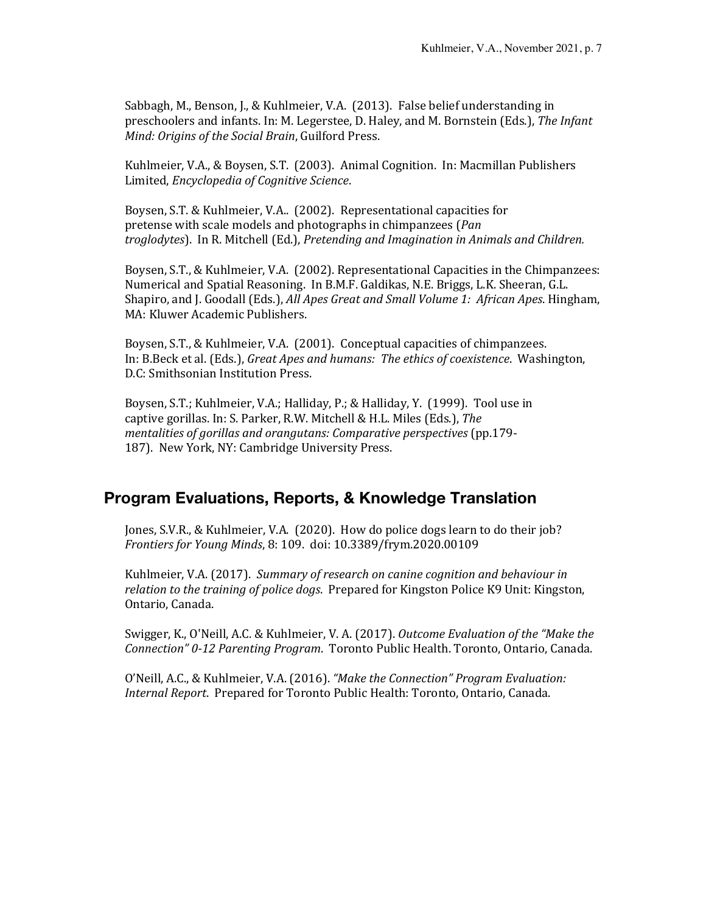Sabbagh, M., Benson, J., & Kuhlmeier, V.A. (2013). False belief understanding in preschoolers and infants. In: M. Legerstee, D. Haley, and M. Bornstein (Eds.), *The Infant Mind: Origins of the Social Brain, Guilford Press.* 

Kuhlmeier, V.A., & Boysen, S.T. (2003). Animal Cognition. In: Macmillan Publishers Limited, *Encyclopedia of Cognitive Science*.

Boysen, S.T. & Kuhlmeier, V.A.. (2002). Representational capacities for pretense with scale models and photographs in chimpanzees (*Pan*) *troglodytes*). In R. Mitchell (Ed.), *Pretending and Imagination in Animals and Children.* 

Boysen, S.T., & Kuhlmeier, V.A. (2002). Representational Capacities in the Chimpanzees: Numerical and Spatial Reasoning. In B.M.F. Galdikas, N.E. Briggs, L.K. Sheeran, G.L. Shapiro, and J. Goodall (Eds.), *All Apes Great and Small Volume 1: African Apes.* Hingham, MA: Kluwer Academic Publishers.

Boysen, S.T., & Kuhlmeier, V.A. (2001). Conceptual capacities of chimpanzees. In: B.Beck et al. (Eds.), *Great Apes and humans: The ethics of coexistence*. Washington, D.C: Smithsonian Institution Press.

Boysen, S.T.; Kuhlmeier, V.A.; Halliday, P.; & Halliday, Y. (1999). Tool use in captive gorillas. In: S. Parker, R.W. Mitchell & H.L. Miles (Eds.), The mentalities of gorillas and orangutans: Comparative perspectives (pp.179-187). New York, NY: Cambridge University Press.

#### **Program Evaluations, Reports, & Knowledge Translation**

Jones, S.V.R., & Kuhlmeier, V.A. (2020). How do police dogs learn to do their job? *Frontiers for Young Minds*, 8: 109. doi: 10.3389/frym.2020.00109

Kuhlmeier, V.A. (2017). Summary of research on canine cognition and behaviour in relation to the training of police dogs. Prepared for Kingston Police K9 Unit: Kingston, Ontario, Canada.

Swigger, K., O'Neill, A.C. & Kuhlmeier, V. A. (2017). Outcome Evaluation of the "Make the *Connection"* 0-12 *Parenting Program*. Toronto Public Health. Toronto, Ontario, Canada.

O'Neill, A.C., & Kuhlmeier, V.A. (2016). *"Make the Connection" Program Evaluation: Internal Report.* Prepared for Toronto Public Health: Toronto, Ontario, Canada.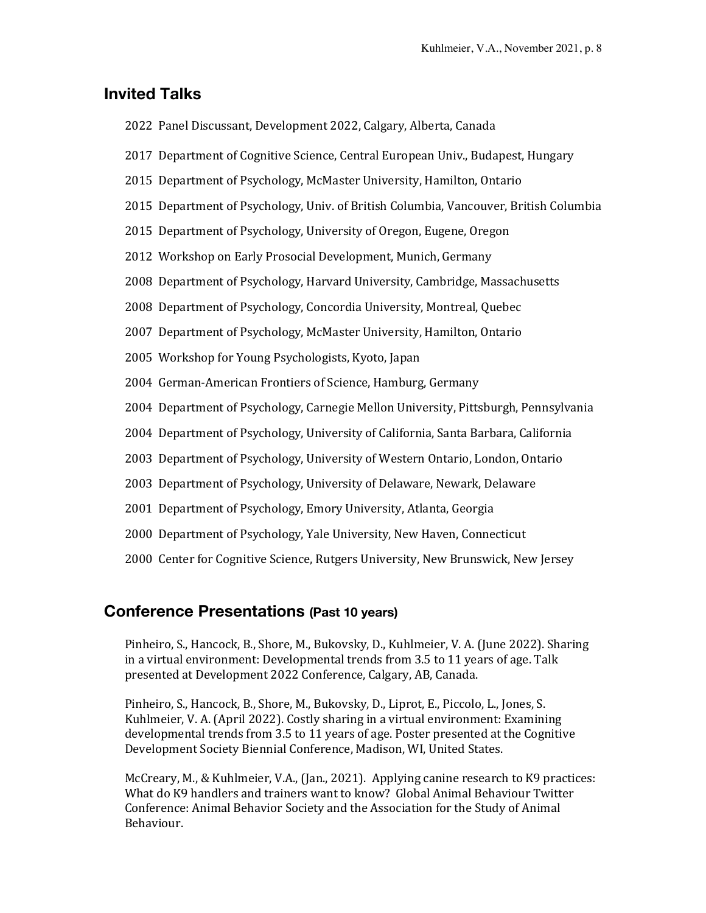#### **Invited Talks**

- 2022 Panel Discussant, Development 2022, Calgary, Alberta, Canada
- 2017 Department of Cognitive Science, Central European Univ., Budapest, Hungary
- 2015 Department of Psychology, McMaster University, Hamilton, Ontario
- 2015 Department of Psychology, Univ. of British Columbia, Vancouver, British Columbia
- 2015 Department of Psychology, University of Oregon, Eugene, Oregon
- 2012 Workshop on Early Prosocial Development, Munich, Germany
- 2008 Department of Psychology, Harvard University, Cambridge, Massachusetts
- 2008 Department of Psychology, Concordia University, Montreal, Quebec
- 2007 Department of Psychology, McMaster University, Hamilton, Ontario
- 2005 Workshop for Young Psychologists, Kyoto, Japan
- 2004 German-American Frontiers of Science, Hamburg, Germany
- 2004 Department of Psychology, Carnegie Mellon University, Pittsburgh, Pennsylvania
- 2004 Department of Psychology, University of California, Santa Barbara, California
- 2003 Department of Psychology, University of Western Ontario, London, Ontario
- 2003 Department of Psychology, University of Delaware, Newark, Delaware
- 2001 Department of Psychology, Emory University, Atlanta, Georgia
- 2000 Department of Psychology, Yale University, New Haven, Connecticut
- 2000 Center for Cognitive Science, Rutgers University, New Brunswick, New Jersey

#### **Conference Presentations (Past 10 years)**

Pinheiro, S., Hancock, B., Shore, M., Bukovsky, D., Kuhlmeier, V. A. (June 2022). Sharing in a virtual environment: Developmental trends from  $3.5$  to  $11$  years of age. Talk presented at Development 2022 Conference, Calgary, AB, Canada.

Pinheiro, S., Hancock, B., Shore, M., Bukovsky, D., Liprot, E., Piccolo, L., Jones, S. Kuhlmeier, V. A. (April 2022). Costly sharing in a virtual environment: Examining developmental trends from 3.5 to 11 years of age. Poster presented at the Cognitive Development Society Biennial Conference, Madison, WI, United States.

McCreary, M., & Kuhlmeier, V.A., (Jan., 2021). Applying canine research to K9 practices: What do K9 handlers and trainers want to know? Global Animal Behaviour Twitter Conference: Animal Behavior Society and the Association for the Study of Animal Behaviour.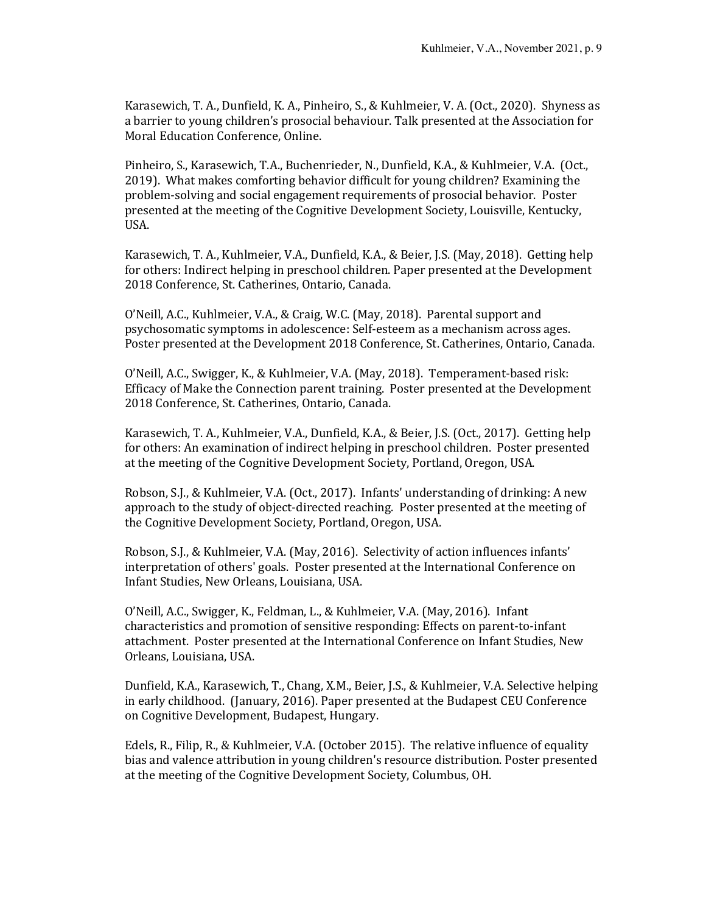Karasewich, T. A., Dunfield, K. A., Pinheiro, S., & Kuhlmeier, V. A. (Oct., 2020). Shyness as a barrier to young children's prosocial behaviour. Talk presented at the Association for Moral Education Conference, Online.

Pinheiro, S., Karasewich, T.A., Buchenrieder, N., Dunfield, K.A., & Kuhlmeier, V.A. (Oct., 2019). What makes comforting behavior difficult for young children? Examining the problem-solving and social engagement requirements of prosocial behavior. Poster presented at the meeting of the Cognitive Development Society, Louisville, Kentucky, USA.

Karasewich, T. A., Kuhlmeier, V.A., Dunfield, K.A., & Beier, J.S. (May, 2018). Getting help for others: Indirect helping in preschool children. Paper presented at the Development 2018 Conference, St. Catherines, Ontario, Canada.

O'Neill, A.C., Kuhlmeier, V.A., & Craig, W.C. (May, 2018). Parental support and psychosomatic symptoms in adolescence: Self-esteem as a mechanism across ages. Poster presented at the Development 2018 Conference, St. Catherines, Ontario, Canada.

O'Neill, A.C., Swigger, K., & Kuhlmeier, V.A. (May, 2018). Temperament-based risk: Efficacy of Make the Connection parent training. Poster presented at the Development 2018 Conference, St. Catherines, Ontario, Canada.

Karasewich, T. A., Kuhlmeier, V.A., Dunfield, K.A., & Beier, J.S. (Oct., 2017). Getting help for others: An examination of indirect helping in preschool children. Poster presented at the meeting of the Cognitive Development Society, Portland, Oregon, USA.

Robson, S.J., & Kuhlmeier, V.A. (Oct., 2017). Infants' understanding of drinking: A new approach to the study of object-directed reaching. Poster presented at the meeting of the Cognitive Development Society, Portland, Oregon, USA.

Robson, S.J., & Kuhlmeier, V.A. (May, 2016). Selectivity of action influences infants' interpretation of others' goals. Poster presented at the International Conference on Infant Studies, New Orleans, Louisiana, USA.

O'Neill, A.C., Swigger, K., Feldman, L., & Kuhlmeier, V.A. (May, 2016). Infant characteristics and promotion of sensitive responding: Effects on parent-to-infant attachment. Poster presented at the International Conference on Infant Studies, New Orleans, Louisiana, USA.

Dunfield, K.A., Karasewich, T., Chang, X.M., Beier, J.S., & Kuhlmeier, V.A. Selective helping in early childhood. (January, 2016). Paper presented at the Budapest CEU Conference on Cognitive Development, Budapest, Hungary.

Edels, R., Filip, R., & Kuhlmeier, V.A. (October 2015). The relative influence of equality bias and valence attribution in young children's resource distribution. Poster presented at the meeting of the Cognitive Development Society, Columbus, OH.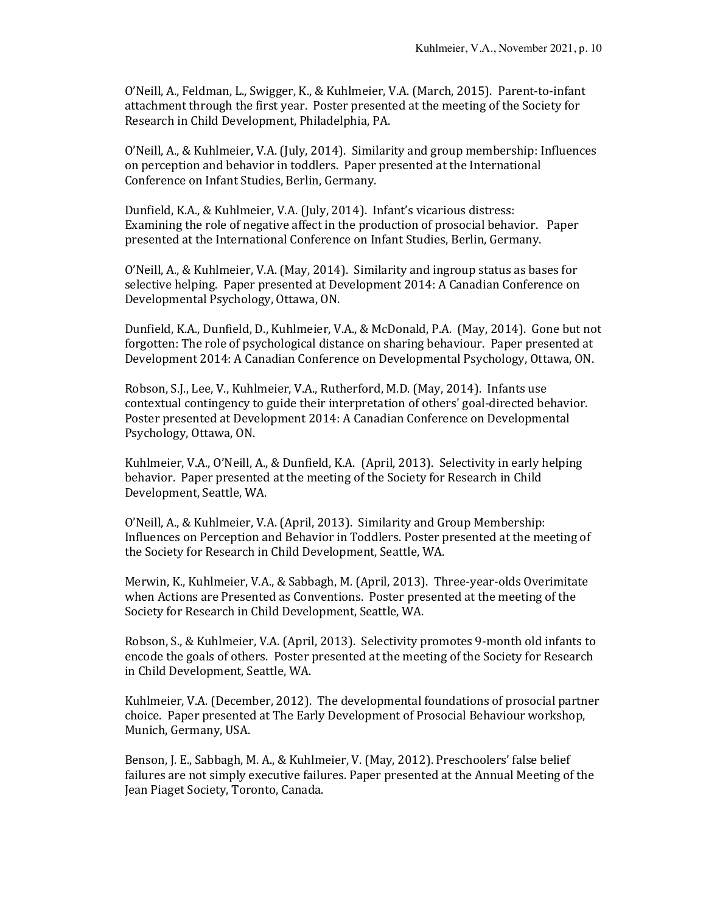O'Neill, A., Feldman, L., Swigger, K., & Kuhlmeier, V.A. (March, 2015). Parent-to-infant attachment through the first year. Poster presented at the meeting of the Society for Research in Child Development, Philadelphia, PA.

O'Neill, A., & Kuhlmeier, V.A. (July, 2014). Similarity and group membership: Influences on perception and behavior in toddlers. Paper presented at the International Conference on Infant Studies, Berlin, Germany.

Dunfield, K.A., & Kuhlmeier, V.A. (July, 2014). Infant's vicarious distress: Examining the role of negative affect in the production of prosocial behavior. Paper presented at the International Conference on Infant Studies, Berlin, Germany.

 $O'N$ eill,  $A_{\nu}$ , & Kuhlmeier, V.A. (May, 2014). Similarity and ingroup status as bases for selective helping. Paper presented at Development 2014: A Canadian Conference on Developmental Psychology, Ottawa, ON.

Dunfield, K.A., Dunfield, D., Kuhlmeier, V.A., & McDonald, P.A. (May, 2014). Gone but not forgotten: The role of psychological distance on sharing behaviour. Paper presented at Development 2014: A Canadian Conference on Developmental Psychology, Ottawa, ON.

Robson, S.J., Lee, V., Kuhlmeier, V.A., Rutherford, M.D. (May, 2014). Infants use contextual contingency to guide their interpretation of others' goal-directed behavior. Poster presented at Development 2014: A Canadian Conference on Developmental Psychology, Ottawa, ON.

Kuhlmeier, V.A., O'Neill, A., & Dunfield, K.A. (April, 2013). Selectivity in early helping behavior. Paper presented at the meeting of the Society for Research in Child Development, Seattle, WA.

O'Neill, A., & Kuhlmeier, V.A. (April, 2013). Similarity and Group Membership: Influences on Perception and Behavior in Toddlers. Poster presented at the meeting of the Society for Research in Child Development, Seattle, WA.

Merwin, K., Kuhlmeier, V.A., & Sabbagh, M. (April, 2013). Three-year-olds Overimitate when Actions are Presented as Conventions. Poster presented at the meeting of the Society for Research in Child Development, Seattle, WA.

Robson, S., & Kuhlmeier, V.A. (April, 2013). Selectivity promotes 9-month old infants to encode the goals of others. Poster presented at the meeting of the Society for Research in Child Development, Seattle, WA.

Kuhlmeier, V.A. (December, 2012). The developmental foundations of prosocial partner choice. Paper presented at The Early Development of Prosocial Behaviour workshop, Munich, Germany, USA.

Benson, J. E., Sabbagh, M. A., & Kuhlmeier, V. (May, 2012). Preschoolers' false belief failures are not simply executive failures. Paper presented at the Annual Meeting of the Jean Piaget Society, Toronto, Canada.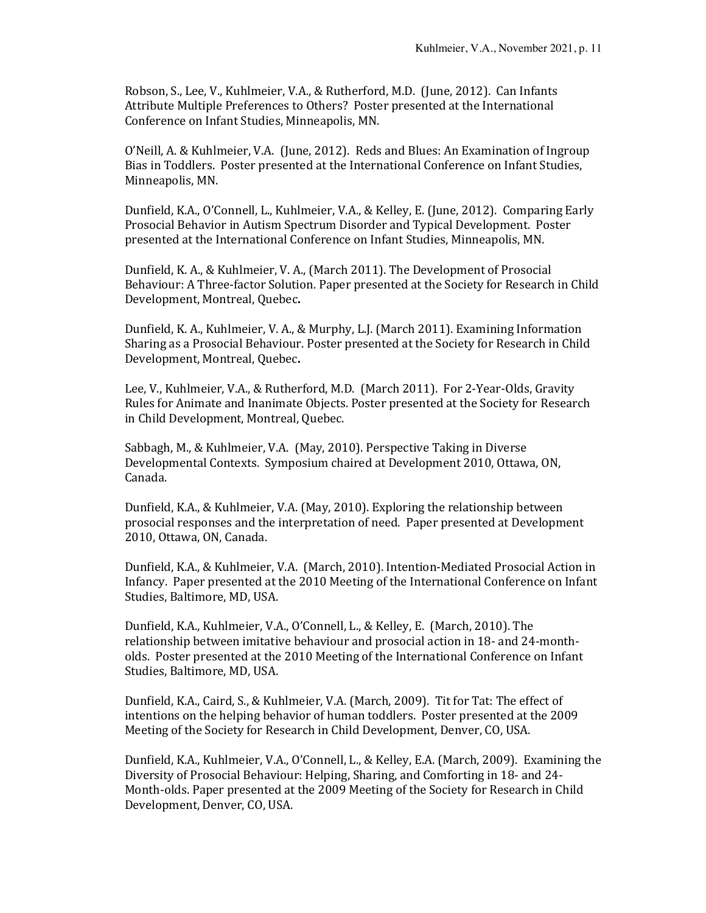Robson, S., Lee, V., Kuhlmeier, V.A., & Rutherford, M.D. (June, 2012). Can Infants Attribute Multiple Preferences to Others? Poster presented at the International Conference on Infant Studies, Minneapolis, MN.

O'Neill, A. & Kuhlmeier, V.A. (June, 2012). Reds and Blues: An Examination of Ingroup Bias in Toddlers. Poster presented at the International Conference on Infant Studies, Minneapolis, MN.

Dunfield, K.A., O'Connell, L., Kuhlmeier, V.A., & Kelley, E. (June, 2012). Comparing Early Prosocial Behavior in Autism Spectrum Disorder and Typical Development. Poster presented at the International Conference on Infant Studies, Minneapolis, MN.

Dunfield, K. A., & Kuhlmeier, V. A., (March 2011). The Development of Prosocial Behaviour: A Three-factor Solution. Paper presented at the Society for Research in Child Development, Montreal, Quebec**.**

Dunfield, K. A., Kuhlmeier, V. A., & Murphy, L.J. (March 2011). Examining Information Sharing as a Prosocial Behaviour. Poster presented at the Society for Research in Child Development, Montreal, Quebec**.**

Lee, V., Kuhlmeier, V.A., & Rutherford, M.D. (March 2011). For 2-Year-Olds, Gravity Rules for Animate and Inanimate Objects. Poster presented at the Society for Research in Child Development, Montreal, Quebec.

Sabbagh, M., & Kuhlmeier, V.A. (May, 2010). Perspective Taking in Diverse Developmental Contexts. Symposium chaired at Development 2010, Ottawa, ON, Canada.

Dunfield, K.A., & Kuhlmeier, V.A. (May, 2010). Exploring the relationship between prosocial responses and the interpretation of need. Paper presented at Development 2010, Ottawa, ON, Canada.

Dunfield, K.A., & Kuhlmeier, V.A. (March, 2010). Intention-Mediated Prosocial Action in Infancy. Paper presented at the 2010 Meeting of the International Conference on Infant Studies, Baltimore, MD, USA.

Dunfield, K.A., Kuhlmeier, V.A., O'Connell, L., & Kelley, E. (March, 2010). The relationship between imitative behaviour and prosocial action in 18- and 24-montholds. Poster presented at the 2010 Meeting of the International Conference on Infant Studies, Baltimore, MD, USA.

Dunfield, K.A., Caird, S., & Kuhlmeier, V.A. (March, 2009). Tit for Tat: The effect of intentions on the helping behavior of human toddlers. Poster presented at the 2009 Meeting of the Society for Research in Child Development, Denver, CO, USA.

Dunfield, K.A., Kuhlmeier, V.A., O'Connell, L., & Kelley, E.A. (March, 2009). Examining the Diversity of Prosocial Behaviour: Helping, Sharing, and Comforting in 18- and 24-Month-olds. Paper presented at the 2009 Meeting of the Society for Research in Child Development, Denver, CO, USA.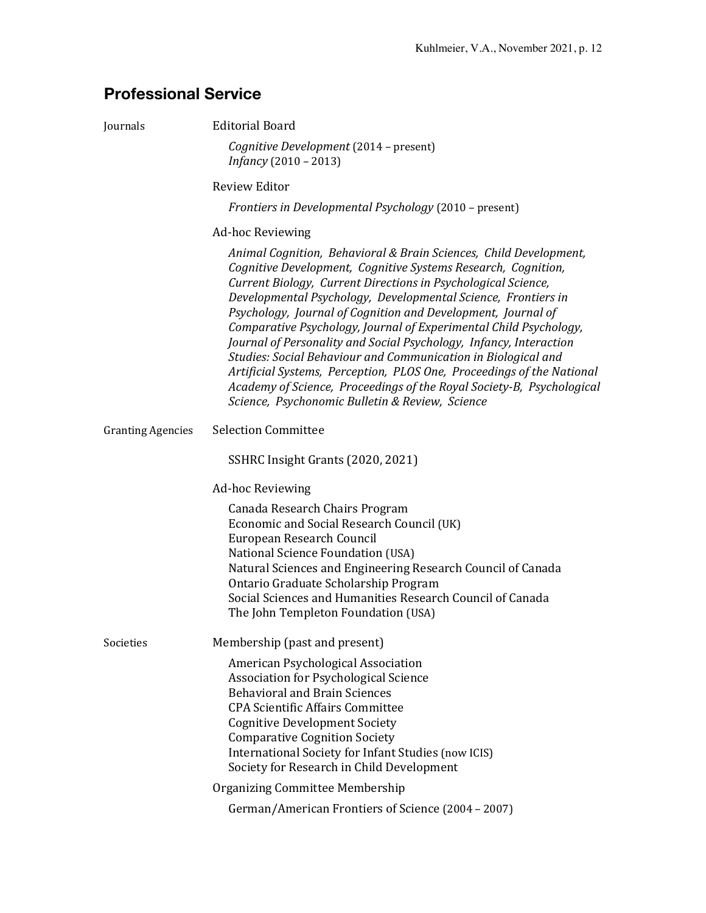## **Professional Service**

| Journals                 | <b>Editorial Board</b>                                                                                                                                                                                                                                                                                                                                                                                                                                                                                                                                                                                                                                                                                                                                |
|--------------------------|-------------------------------------------------------------------------------------------------------------------------------------------------------------------------------------------------------------------------------------------------------------------------------------------------------------------------------------------------------------------------------------------------------------------------------------------------------------------------------------------------------------------------------------------------------------------------------------------------------------------------------------------------------------------------------------------------------------------------------------------------------|
|                          | Cognitive Development (2014 - present)<br>Infancy (2010 - 2013)                                                                                                                                                                                                                                                                                                                                                                                                                                                                                                                                                                                                                                                                                       |
|                          | Review Editor                                                                                                                                                                                                                                                                                                                                                                                                                                                                                                                                                                                                                                                                                                                                         |
|                          | Frontiers in Developmental Psychology (2010 - present)                                                                                                                                                                                                                                                                                                                                                                                                                                                                                                                                                                                                                                                                                                |
|                          | <b>Ad-hoc Reviewing</b>                                                                                                                                                                                                                                                                                                                                                                                                                                                                                                                                                                                                                                                                                                                               |
|                          | Animal Cognition, Behavioral & Brain Sciences, Child Development,<br>Cognitive Development, Cognitive Systems Research, Cognition,<br>Current Biology, Current Directions in Psychological Science,<br>Developmental Psychology, Developmental Science, Frontiers in<br>Psychology, Journal of Cognition and Development, Journal of<br>Comparative Psychology, Journal of Experimental Child Psychology,<br>Journal of Personality and Social Psychology, Infancy, Interaction<br>Studies: Social Behaviour and Communication in Biological and<br>Artificial Systems, Perception, PLOS One, Proceedings of the National<br>Academy of Science, Proceedings of the Royal Society-B, Psychological<br>Science, Psychonomic Bulletin & Review, Science |
| <b>Granting Agencies</b> | <b>Selection Committee</b>                                                                                                                                                                                                                                                                                                                                                                                                                                                                                                                                                                                                                                                                                                                            |
|                          | SSHRC Insight Grants (2020, 2021)                                                                                                                                                                                                                                                                                                                                                                                                                                                                                                                                                                                                                                                                                                                     |
|                          | <b>Ad-hoc Reviewing</b>                                                                                                                                                                                                                                                                                                                                                                                                                                                                                                                                                                                                                                                                                                                               |
|                          | Canada Research Chairs Program<br>Economic and Social Research Council (UK)<br>European Research Council<br>National Science Foundation (USA)<br>Natural Sciences and Engineering Research Council of Canada<br>Ontario Graduate Scholarship Program<br>Social Sciences and Humanities Research Council of Canada<br>The John Templeton Foundation (USA)                                                                                                                                                                                                                                                                                                                                                                                              |
| Societies                | Membership (past and present)                                                                                                                                                                                                                                                                                                                                                                                                                                                                                                                                                                                                                                                                                                                         |
|                          | American Psychological Association<br>Association for Psychological Science<br><b>Behavioral and Brain Sciences</b><br><b>CPA Scientific Affairs Committee</b><br><b>Cognitive Development Society</b><br><b>Comparative Cognition Society</b><br>International Society for Infant Studies (now ICIS)<br>Society for Research in Child Development                                                                                                                                                                                                                                                                                                                                                                                                    |
|                          | <b>Organizing Committee Membership</b>                                                                                                                                                                                                                                                                                                                                                                                                                                                                                                                                                                                                                                                                                                                |
|                          | German/American Frontiers of Science (2004 - 2007)                                                                                                                                                                                                                                                                                                                                                                                                                                                                                                                                                                                                                                                                                                    |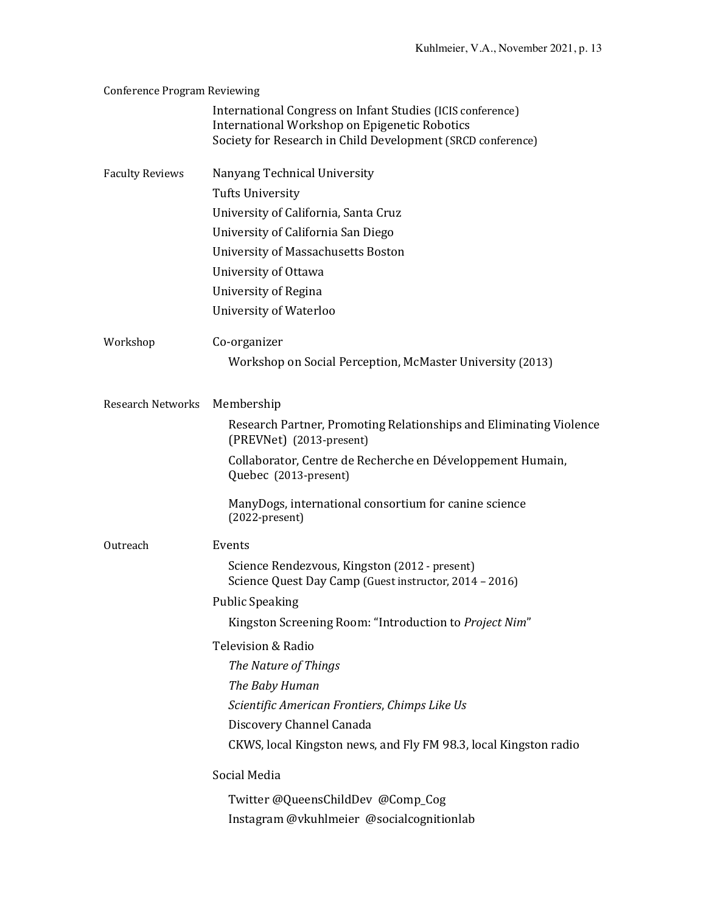Conference Program Reviewing International Congress on Infant Studies (ICIS conference) International Workshop on Epigenetic Robotics Society for Research in Child Development (SRCD conference) Faculty Reviews Nanyang Technical University Tufts University University of California, Santa Cruz University of California San Diego University of Massachusetts Boston University of Ottawa University of Regina University of Waterloo Workshop Co-organizer Workshop on Social Perception, McMaster University (2013) Research Networks Membership Research Partner, Promoting Relationships and Eliminating Violence (PREVNet) (2013-present) Collaborator, Centre de Recherche en Développement Humain, Quebec (2013-present) ManyDogs, international consortium for canine science (2022-present) Outreach Events Science Rendezvous, Kingston (2012 - present) Science Quest Day Camp (Guest instructor, 2014 – 2016) Public Speaking Kingston Screening Room: "Introduction to Project Nim" Television & Radio *The Nature of Things The Baby Human Scientific American Frontiers*, *Chimps Like Us* Discovery Channel Canada CKWS, local Kingston news, and Fly FM 98.3, local Kingston radio Social Media Twitter @QueensChildDev @Comp\_Cog Instagram @vkuhlmeier @socialcognitionlab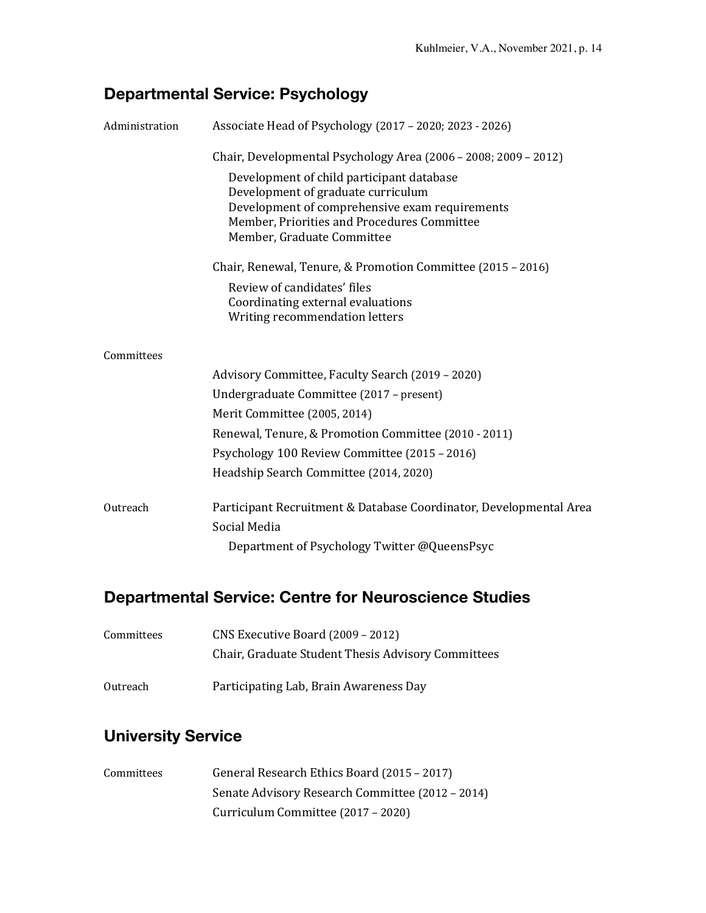## **Departmental Service: Psychology**

| Associate Head of Psychology (2017 - 2020; 2023 - 2026)<br>Administration |                                                                                      |
|---------------------------------------------------------------------------|--------------------------------------------------------------------------------------|
|                                                                           | Chair, Developmental Psychology Area (2006 – 2008; 2009 – 2012)                      |
|                                                                           | Development of child participant database                                            |
|                                                                           | Development of graduate curriculum<br>Development of comprehensive exam requirements |
|                                                                           | Member, Priorities and Procedures Committee                                          |
|                                                                           | Member, Graduate Committee                                                           |
|                                                                           | Chair, Renewal, Tenure, & Promotion Committee (2015 - 2016)                          |
|                                                                           | Review of candidates' files                                                          |
|                                                                           | Coordinating external evaluations                                                    |
|                                                                           | Writing recommendation letters                                                       |
| Committees                                                                |                                                                                      |
|                                                                           | Advisory Committee, Faculty Search (2019 - 2020)                                     |
|                                                                           | Undergraduate Committee (2017 - present)                                             |
|                                                                           | Merit Committee (2005, 2014)                                                         |
|                                                                           | Renewal, Tenure, & Promotion Committee (2010 - 2011)                                 |
|                                                                           | Psychology 100 Review Committee (2015 - 2016)                                        |
|                                                                           | Headship Search Committee (2014, 2020)                                               |
| Outreach                                                                  | Participant Recruitment & Database Coordinator, Developmental Area                   |
|                                                                           | Social Media                                                                         |
|                                                                           | Department of Psychology Twitter @QueensPsyc                                         |

# **Departmental Service: Centre for Neuroscience Studies**

| Committees | CNS Executive Board (2009 - 2012)                  |  |
|------------|----------------------------------------------------|--|
|            | Chair, Graduate Student Thesis Advisory Committees |  |
| Outreach   | Participating Lab, Brain Awareness Day             |  |

# **University Service**

| Committees | General Research Ethics Board (2015 - 2017)      |
|------------|--------------------------------------------------|
|            | Senate Advisory Research Committee (2012 - 2014) |
|            | Curriculum Committee (2017 – 2020)               |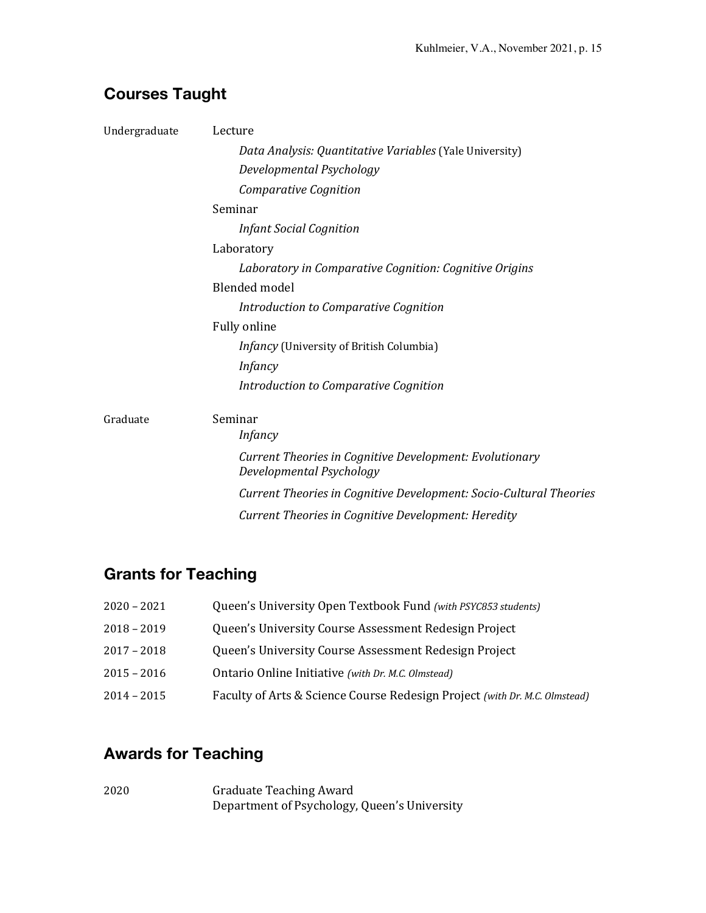# **Courses Taught**

| Undergraduate | Lecture                                                                             |  |  |
|---------------|-------------------------------------------------------------------------------------|--|--|
|               | Data Analysis: Quantitative Variables (Yale University)                             |  |  |
|               | Developmental Psychology                                                            |  |  |
|               | Comparative Cognition                                                               |  |  |
|               | Seminar                                                                             |  |  |
|               | <b>Infant Social Cognition</b>                                                      |  |  |
|               | Laboratory                                                                          |  |  |
|               | Laboratory in Comparative Cognition: Cognitive Origins                              |  |  |
|               | <b>Blended</b> model                                                                |  |  |
|               | Introduction to Comparative Cognition                                               |  |  |
|               | <b>Fully online</b>                                                                 |  |  |
|               | <i>Infancy</i> (University of British Columbia)                                     |  |  |
|               | <i>Infancy</i>                                                                      |  |  |
|               | Introduction to Comparative Cognition                                               |  |  |
| Graduate      | Seminar                                                                             |  |  |
|               | <i>Infancy</i>                                                                      |  |  |
|               | Current Theories in Cognitive Development: Evolutionary<br>Developmental Psychology |  |  |
|               | Current Theories in Cognitive Development: Socio-Cultural Theories                  |  |  |
|               | Current Theories in Cognitive Development: Heredity                                 |  |  |

# **Grants for Teaching**

| $2020 - 2021$ | Queen's University Open Textbook Fund (with PSYC853 students)              |
|---------------|----------------------------------------------------------------------------|
| $2018 - 2019$ | Queen's University Course Assessment Redesign Project                      |
| $2017 - 2018$ | Queen's University Course Assessment Redesign Project                      |
| $2015 - 2016$ | Ontario Online Initiative (with Dr. M.C. Olmstead)                         |
| $2014 - 2015$ | Faculty of Arts & Science Course Redesign Project (with Dr. M.C. Olmstead) |

# **Awards for Teaching**

| 2020 | <b>Graduate Teaching Award</b>               |
|------|----------------------------------------------|
|      | Department of Psychology, Queen's University |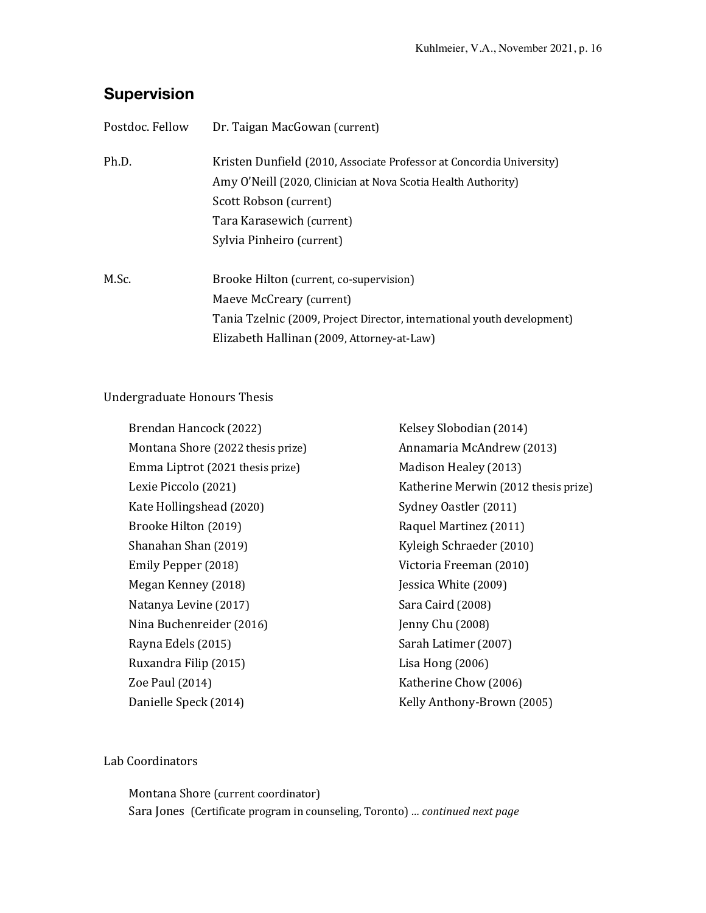# **Supervision**

| Postdoc. Fellow | Dr. Taigan MacGowan (current)                                                                                                                                                                                             |
|-----------------|---------------------------------------------------------------------------------------------------------------------------------------------------------------------------------------------------------------------------|
| Ph.D.           | Kristen Dunfield (2010, Associate Professor at Concordia University)<br>Amy O'Neill (2020, Clinician at Nova Scotia Health Authority)<br>Scott Robson (current)<br>Tara Karasewich (current)<br>Sylvia Pinheiro (current) |
| M.Sc.           | Brooke Hilton (current, co-supervision)<br>Maeve McCreary (current)<br>Tania Tzelnic (2009, Project Director, international youth development)<br>Elizabeth Hallinan (2009, Attorney-at-Law)                              |

#### Undergraduate Honours Thesis

| Brendan Hancock (2022)            | Kelsey Slobodian (2014)              |
|-----------------------------------|--------------------------------------|
| Montana Shore (2022 thesis prize) | Annamaria McAndrew (2013)            |
| Emma Liptrot (2021 thesis prize)  | Madison Healey (2013)                |
| Lexie Piccolo (2021)              | Katherine Merwin (2012 thesis prize) |
| Kate Hollingshead (2020)          | Sydney Oastler (2011)                |
| Brooke Hilton (2019)              | Raquel Martinez (2011)               |
| Shanahan Shan (2019)              | Kyleigh Schraeder (2010)             |
| Emily Pepper (2018)               | Victoria Freeman (2010)              |
| Megan Kenney (2018)               | Jessica White (2009)                 |
| Natanya Levine (2017)             | Sara Caird (2008)                    |
| Nina Buchenreider (2016)          | Jenny Chu (2008)                     |
| Rayna Edels (2015)                | Sarah Latimer (2007)                 |
| Ruxandra Filip (2015)             | Lisa Hong $(2006)$                   |
| Zoe Paul (2014)                   | Katherine Chow (2006)                |
| Danielle Speck (2014)             | Kelly Anthony-Brown (2005)           |
|                                   |                                      |

#### Lab Coordinators

Montana Shore (current coordinator) Sara Jones (Certificate program in counseling, Toronto) *... continued next page*